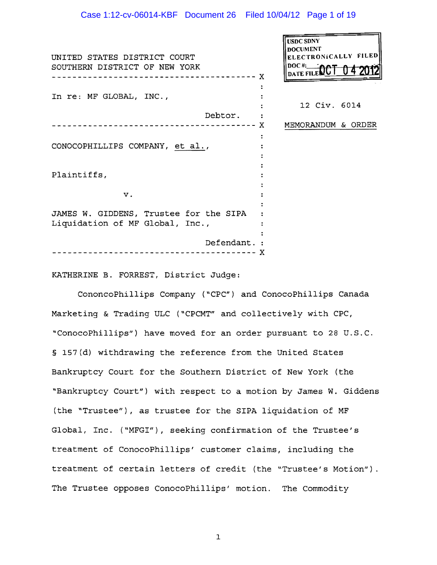ᅱ

| UNITED STATES DISTRICT COURT<br>SOUTHERN DISTRICT OF NEW YORK |              | <b>USDC SDNY</b><br><b>DOCUMENT</b><br>ELECTRONICALLY FILED<br>$DOCH: \longrightarrow \mathbf{AA}$ |  |
|---------------------------------------------------------------|--------------|----------------------------------------------------------------------------------------------------|--|
|                                                               | X            | DATE FILE                                                                                          |  |
|                                                               |              |                                                                                                    |  |
| In re: MF GLOBAL, INC.,                                       |              |                                                                                                    |  |
|                                                               |              | 12 Civ. 6014                                                                                       |  |
|                                                               | Debtor.      |                                                                                                    |  |
|                                                               | X            | MEMORANDUM & ORDER                                                                                 |  |
|                                                               |              |                                                                                                    |  |
| CONOCOPHILLIPS COMPANY, et al.,                               |              |                                                                                                    |  |
|                                                               |              |                                                                                                    |  |
|                                                               |              |                                                                                                    |  |
| Plaintiffs,                                                   |              |                                                                                                    |  |
|                                                               |              |                                                                                                    |  |
| $\mathbf v$ .                                                 |              |                                                                                                    |  |
|                                                               |              |                                                                                                    |  |
| JAMES W. GIDDENS, Trustee for the SIPA                        |              |                                                                                                    |  |
| Liquidation of MF Global, Inc.,                               |              |                                                                                                    |  |
|                                                               | Defendant. : |                                                                                                    |  |
|                                                               | х            |                                                                                                    |  |
|                                                               |              |                                                                                                    |  |

KATHERINE B. FORREST, District Judge:

CononcoPhillips Company *("CPC")* and ConocoPhillips Canada Marketing & Trading ULC ("CPCMT" and collectively with CPC, "ConocoPhillips") have moved for an order pursuant to 28 U.S.C. § 157(d) withdrawing the reference from the United States Bankruptcy Court for the Southern District of New York (the "Bankruptcy Court") with respect to a motion by James W. Giddens (the "Trustee"), as trustee for the SIPA liquidation of MF Global, Inc. ("MFGI"), seeking confirmation of the Trustee's treatment of ConocoPhillips' customer claims, including the treatment of certain letters of credit (the "Trustee's Motion"). The Trustee opposes ConocoPhillips' motion. The Commodity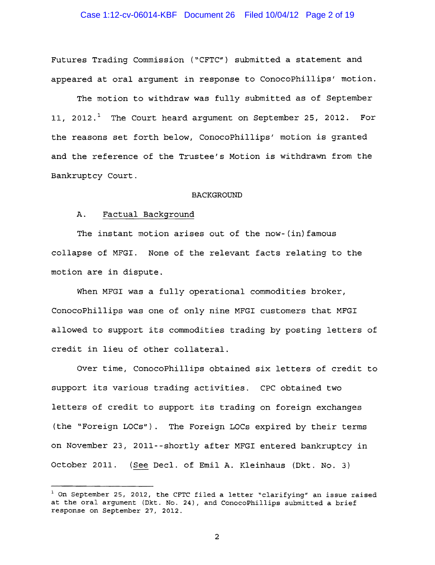## Case 1:12-cv-06014-KBF Document 26 Filed 10/04/12 Page 2 of 19

Futures Trading Commission ("CFTC") submitted a statement and appeared at oral argument in response to ConocoPhillips' motion.

The motion to withdraw was fully submitted as of September 11, 2012.<sup>1</sup> The Court heard argument on September 25, 2012. For the reasons set forth below, ConocoPhillips' motion is granted and the reference of the Trustee's Motion is withdrawn from the Bankruptcy Court.

#### BACKGROUND

#### A. Factual Background

The instant motion arises out of the now-(in) famous collapse of MFGI. None of the relevant facts relating to the motion are in dispute.

When MFGI was a fully operational commodities broker, ConocoPhillips was one of only nine MFGI customers that MFGI allowed to support its commodities trading by posting letters of credit in lieu of other collateral.

Over time, ConocoPhillips obtained six letters of credit to support its various trading activities. CPC obtained two letters of credit to support its trading on foreign exchanges (the "Foreign LOCs"). The Foreign LOCs expired by their terms on November 23, 2011--shortly after MFGI entered bankruptcy in October 2011. (See Decl. of Emil A. Kleinhaus (Dkt. No. 3)

 $1$  On September 25, 2012, the CFTC filed a letter "clarifying" an issue raised at the oral argument (Dkt. No. 24), and ConocoPhillips submitted a brief response on September 27, 2012.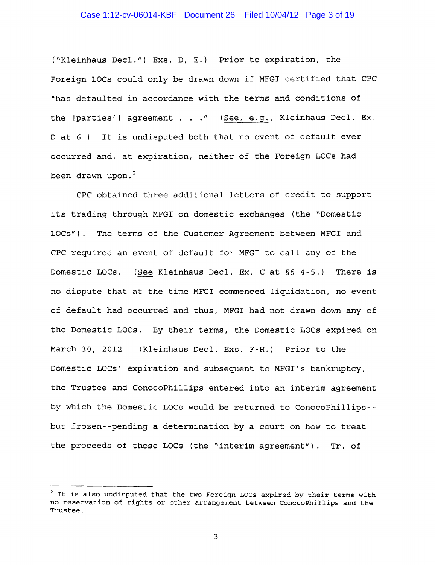## Case 1:12-cv-06014-KBF Document 26 Filed 10/04/12 Page 3 of 19

("Kleinhaus Decl.") Exs. D, E.) Prior to expiration, the Foreign LOCs could only be drawn down if MFGI certified that CPC "has defaulted in accordance with the terms and conditions of the [parties'] agreement . . ." (See, e.g., Kleinhaus Decl. Ex. D at 6.) It is undisputed both that no event of default ever occurred and, at expiration, neither of the Foreign LOCs had been drawn upon.<sup>2</sup>

CPC obtained three additional letters of credit to support its trading through MFGI on domestic exchanges (the "Domestic LOCs"). The terms of the Customer Agreement between MFGI and CPC required an event of default for MFGI to call any of the Domestic LOCs. (See Kleinhaus Decl. Ex. C at §§ 4-5.) There is no dispute that at the time MFGI commenced liquidation, no event of default had occurred and thus, MFGI had not drawn down any of the Domestic LOCs. By their terms, the Domestic LOCs expired on March 30, 2012. (Kleinhaus Decl. Exs. F-H.) Prior to the Domestic LOCs' expiration and subsequent to MFGI's bankruptcy, the Trustee and ConocoPhillips entered into an interim agreement by which the Domestic LOCs would be returned to ConocoPhillips but frozen--pending a determination by a court on how to treat the proceeds of those LOCs (the "interim agreement"). Tr. of

 $^2$  It is also undisputed that the two Foreign LOCs expired by their terms with no reservation of rights or other arrangement between ConocoPhillips and the Trustee.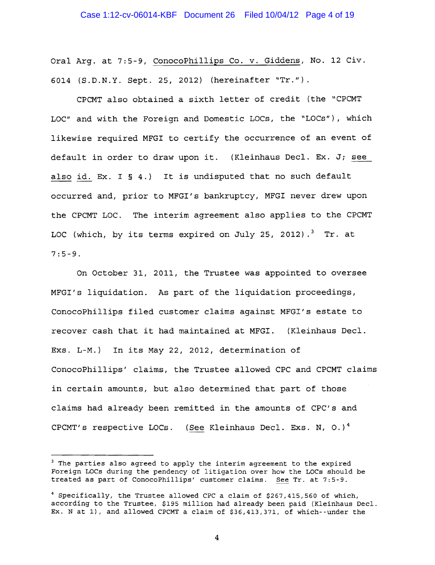Oral Arg. at 7:5-9, ConocoPhillips Co. v. Giddens, No. 12 Civ. 6014 (S.D.N.Y. Sept. 25, 2012) (hereinafter "Tr.").

CPCMT also obtained a sixth letter of credit (the "CPCMT LOC" and with the Foreign and Domestic LOCs, the "LOCs"), which likewise required MFGI to certify the occurrence of an event of default in order to draw upon it. (Kleinhaus Decl. Ex. *Ji* see also id. Ex. I § 4.) It is undisputed that no such default occurred and, prior to MFGI's bankruptcy, MFGI never drew upon the CPCMT LOC. The interim agreement also applies to the CPCMT LOC (which, by its terms expired on July 25, 2012).<sup>3</sup> Tr. at 7:5-9.

On October 31, 2011, the Trustee was appointed to oversee MFGI's liquidation. As part of the liquidation proceedings, ConocoPhillips filed customer claims against MFGI's estate to recover cash that it had maintained at MFGI. (Kleinhaus Decl. Exs. L-M.) In its May 22, 2012, determination of ConocoPhillips' claims, the Trustee allowed CPC and CPCMT claims in certain amounts, but also determined that part of those claims had already been remitted in the amounts of CPC's and CPCMT's respective LOCs. (See Kleinhaus Decl. Exs. N, O.)<sup>4</sup>

<sup>&</sup>lt;sup>3</sup> The parties also agreed to apply the interim agreement to the expired Foreign LOCs during the pendency of litigation over how the LOCs should be treated as part of ConocoPhillips' customer claims. See Tr. at 7:5-9.

<sup>4</sup> Specifically, the Trustee allowed CPC a claim of \$267,415,560 of which, according to the Trustee, \$195 million had already been paid (Kleinhaus Decl. Ex. N at I), and allowed CPCMT a claim of \$36,413,371, of which--under the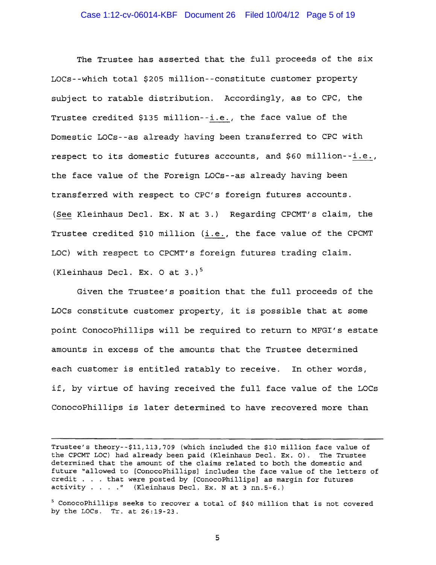The Trustee has asserted that the full proceeds of the six LOCs--which total \$205 million--constitute customer property subject to ratable distribution. Accordingly, as to CPC, the Trustee credited \$135 million--i.e., the face value of the Domestic LOCs--as already having been transferred to CPC with respect to its domestic futures accounts, and \$60 million--i.e., the face value of the Foreign LOCs--as already having been transferred with respect to CPC's foreign futures accounts. See Kleinhaus Decl. Ex. N at 3.) Regarding CPCMT's claim, the Trustee credited \$10 million (i.e., the face value of the CPCMT LOC) with respect to CPCMT's foreign futures trading claim. (Kleinhaus Decl. Ex.  $0$  at  $3.$ )<sup>5</sup>

Given the Trustee's position that the full proceeds of the LOCs constitute customer property, it is possible that at some point ConocoPhillips will be required to return to MFGI's estate amounts in excess of the amounts that the Trustee determined each customer is entitled ratably to receive. In other words, if, by virtue of having received the full face value of the LOCs ConocoPhillips is later determined to have recovered more than

Trustee's theory--\$11,113,709 (which included the \$10 million face value of the CPCMT LOC) had already been paid (Kleinhaus Decl. Ex. 0). The Trustee determined that the amount of the claims related to both the domestic and future "allowed to [ConocoPhillips] includes the face value of the letters of nuture "arrowed to [ConocoPhilips] includes the race value of the lette<br>credit . . . that were posted by [ConocoPhillips] as margin for futures<br>activity . . . ." (Kleinhaus Decl. Ex. N at 3 nn.5-6.)

<sup>5</sup> ConocoPhillips seeks to recover a total of \$40 million that is not covered by the LOCs.  $Tr.$  at  $26:19-23$ .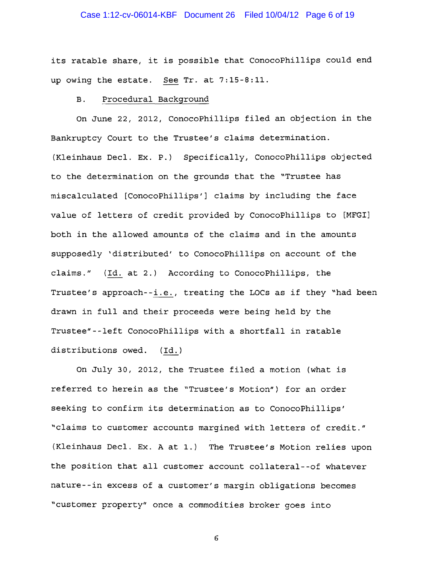## Case 1:12-cv-06014-KBF Document 26 Filed 10/04/12 Page 6 of 19

its ratable share, it is possible that ConocoPhillips could end up owing the estate. See Tr. at 7:15-8:11.

### B. Procedural Background

On June 22, 2012, ConocoPhillips filed an objection in the Bankruptcy Court to the Trustee/s claims determination. (Kleinhaus Decl. Ex. P.) *Specifically,* ConocoPhillips objected to the determination on the grounds that the "Trustee has miscalculated [ConocoPhillips/] claims by including the face value of letters of credit provided by ConocoPhillips to [MFGI] both in the allowed amounts of the claims and in the amounts supposedly 'distributed' to ConocoPhillips on account of the claims." (Id. at 2.) According to ConocoPhillips, the Trustee's approach--i.e., treating the LOCs as if they "had been drawn in full and their proceeds were being held by the Trustee"--left ConocoPhillips with a shortfall in ratable distributions owed.  $(\text{Id.})$ 

On July 30, 2012, the Trustee filed a motion (what is referred to herein as the "Trustee's Motion") for an order seeking to confirm its determination as to ConocoPhillips' "claims to customer accounts margined with letters of credit." (Kleinhaus Decl. Ex. A at 1.) The Trustee's Motion relies upon the position that all customer account collateral--of whatever nature--in excess of a customer's margin obligations becomes "customer property" once a commodities broker goes into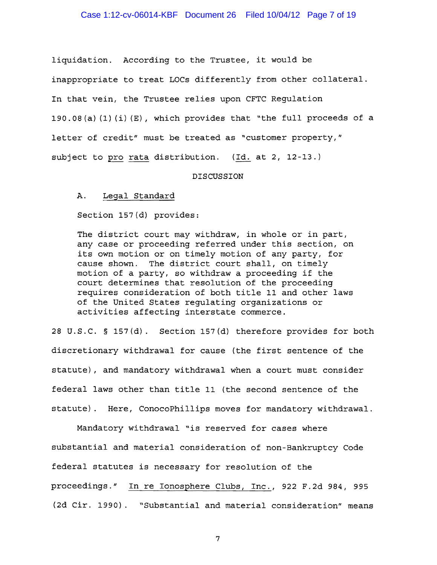### Case 1:12-cv-06014-KBF Document 26 Filed 10/04/12 Page 7 of 19

liquidation. According to the Trustee, it would be inappropriate to treat LOCs differently from other collateral. In that vein, the Trustee relies upon CFTC Regulation 190.08(a) (1) (i) (E), which provides that "the full proceeds of a letter of credit" must be treated as "customer property," subject to pro rata distribution.  $(Id. at 2, 12-13.)$ 

#### DISCUSSION

### A. Legal Standard

Section 157(d) provides:

The district court may withdraw, in whole or in part, any case or proceeding referred under this section, on its own motion or on timely motion of any party, for cause shown. The district court shall, on timely motion of a party, so withdraw a proceeding if the court determines that resolution of the proceeding requires consideration of both title 11 and other laws of the United States regulating organizations or activities affecting interstate commerce.

28 U.S.C. § 157(d). Section 157(d) therefore provides for both discretionary withdrawal for cause (the first sentence of the statute), and mandatory withdrawal when a court must consider federal laws other than title 11 (the second sentence of the statute). Here, ConocoPhillips moves for mandatory withdrawal.

Mandatory withdrawal "is reserved for cases where substantial and material consideration of non-Bankruptcy Code federal statutes is necessary for resolution of the proceedings." In re Ionosphere Clubs, Inc., 922 F.2d 984, 995 (2d Cir. 1990). "Substantial and material consideration" means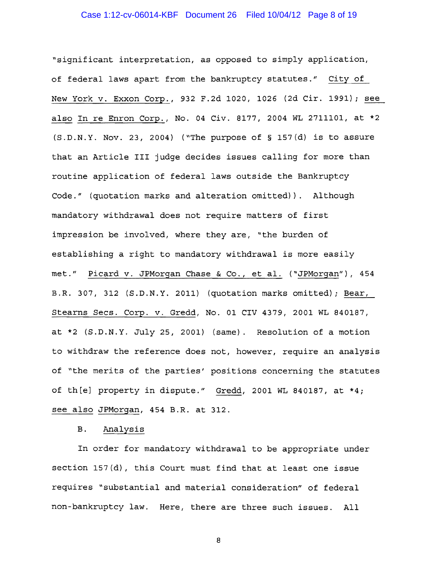## Case 1:12-cv-06014-KBF Document 26 Filed 10/04/12 Page 8 of 19

"significant interpretation, as opposed to simply application, of federal laws apart from the bankruptcy statutes." City of New York v. Exxon Corp., 932 F.2d 1020, 1026 (2d Cir. 1991) i see also In re Enron Corp., No. 04 Civ. 8177, 2004 WL 2711101, at \*2 (S.D.N.Y. Nov. 23, 2004) ("The purpose of § 157(d) is to assure that an Article III judge decides issues calling for more than routine application of federal laws outside the Bankruptcy Code." (quotation marks and alteration omitted)). Although mandatory withdrawal does not require matters of first impression be involved, where they are, "the burden of establishing a right to mandatory withdrawal is more easily met." Picard v. JPMorgan Chase & Co., et al. ("JPMorgan"), 454 B.R. 307, 312 (S.D.N.Y. 2011) (quotation marks omitted); Bear, Stearns Secs. Corp. v. Gredd, No. 01 CIV 4379, 2001 WL 840187, at \*2 (S.D.N.Y. July 25, 2001) (same). Resolution of a motion to withdraw the reference does not, however, require an analysis of "the merits of the parties' positions concerning the statutes of th[e] property in dispute." Gredd, 2001 WL 840187, at \*4; see also JPMorgan, 454 B.R. at 312.

## B. Analysis

In order for mandatory withdrawal to be appropriate under section 157(d), this Court must find that at least one issue requires "substantial and material consideration" of federal non-bankruptcy law. Here, there are three such issues. All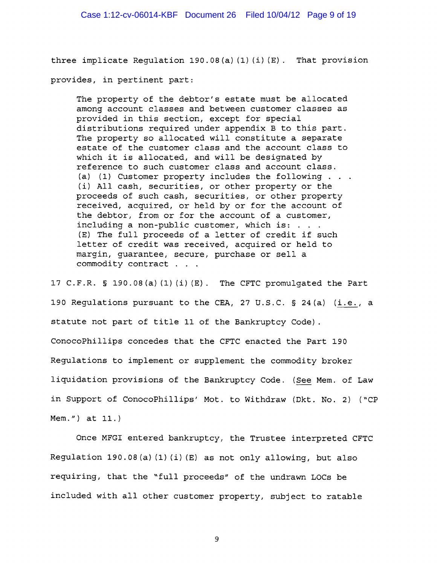three implicate Requlation 190.08(a)(1)(i)(E). That provision provides, in pertinent part:

The property of the debtor's estate must be allocated among account classes and between customer classes as provided in this section, except for special distributions required under appendix B to this part. The property so allocated will constitute a separate estate of the customer class and the account class to which it is allocated, and will be designated by reference to such customer class and account class. (a) (1) Customer property includes the following . . (i) All cash, securities, or other property or the proceeds of such cash, securities, or other property received, acquired, or held by or for the account of the debtor, from or for the account of a customer,<br>including a non-public customer, which is: ...<br>(R) The full pureased of a latter of such the four including a non-public customer, which is:  $\dots$ .<br>(E) The full proceeds of a letter of credit if such letter of credit was received, acquired or held to margin, guarantee, secure, purchase or sell a commodity contract . . .

17 C.F.R. § 190.08(a) (1) (i) (E). The CFTC promulgated the Part 190 Regulations pursuant to the CEA, 27 U.S.C.  $\S$  24(a) (i.e., a statute not part of title 11 of the Bankruptcy Code) . ConocoPhillips concedes that the CFTC enacted the Part 190 Regulations to implement or supplement the commodity broker liquidation provisions of the Bankruptcy Code. *(See* Mem. of Law in Support of ConocoPhillips' Mot. to Withdraw (Dkt. No.2) ("CP Mem. ") at 11.)

Once MFGI entered bankruptcy, the Trustee interpreted CFTC Regulation 190.08(a) (1) (i) (E) as not only allowing, but also requiring, that the "full proceeds" of the undrawn LOCs be included with all other customer property, subject to ratable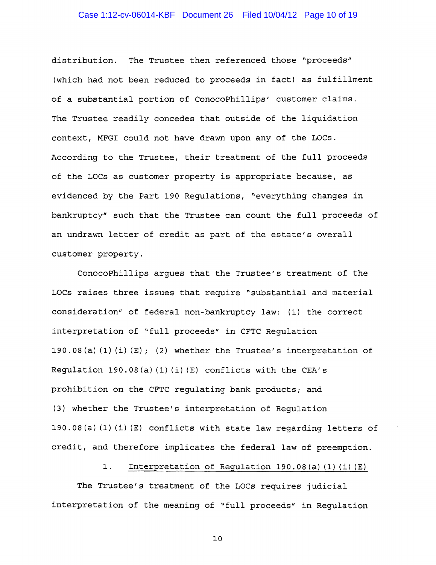## Case 1:12-cv-06014-KBF Document 26 Filed 10/04/12 Page 10 of 19

distribution. The Trustee then referenced those "proceeds" (which had not been reduced to proceeds in fact) as fulfillment of a substantial portion of ConocoPhillips' customer claims. The Trustee readily concedes that outside of the liquidation context, MFGI could not have drawn upon any of the LOCs. According to the Trustee, their treatment of the full proceeds of the LOCs as customer property is appropriate because, as evidenced by the Part 190 Requlations, "everything changes in bankruptcy" such that the Trustee can count the full proceeds of an undrawn letter of credit as part of the estate/s overall customer property.

ConocoPhillips argues that the Trustee/s treatment of the LOCs raises three issues that require "substantial and material consideration" of federal non-bankruptcy law: (1) the correct interpretation of "full proceeds" in CFTC Regulation 190.08(a)  $(1)$   $(i)$   $(E)$ ;  $(2)$  whether the Trustee's interpretation of Regulation 190.08(a)  $(1)$   $(i)$   $(E)$  conflicts with the CEA's prohibition on the CFTC regulating bank products; and (3) whether the Trustee/s interpretation of Regulation 190.08(a) (1) (i) (E) conflicts with state law regarding letters of credit, and therefore implicates the federal law of preemption.

1. Interpretation of Regulation 190.08(a) (1) (i) (E)

The Trustee/s treatment of the LOCs requires judicial interpretation of the meaning of "full proceeds" in Regulation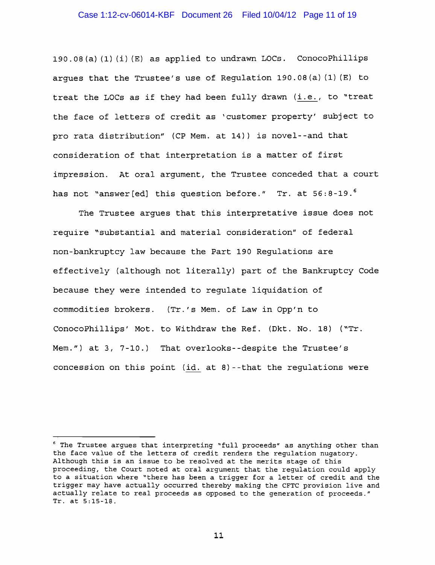## Case 1:12-cv-06014-KBF Document 26 Filed 10/04/12 Page 11 of 19

190.08(a)(1)(i)(E) as applied to undrawn LOCs. ConocoPhillips argues that the Trustee's use of Regulation 190.08(a) (1) (E) to treat the LOCs as if they had been fully drawn (i.e., to "treat the face of letters of credit as 'customer property' subject to pro rata distribution" (CP Mem. at 14)) is novel--and that consideration of that interpretation is a matter of first impression. At oral argument, the Trustee conceded that a court has not "answer [ed] this question before." Tr. at 56:8-19.<sup>6</sup>

The Trustee argues that this interpretative issue does not require "substantial and material consideration" of federal non-bankruptcy law because the Part 190 Regulations are effectively (although not literally) part of the Bankruptcy Code because they were intended to regulate liquidation of commodities brokers. (Tr.'s Mem. of Law in Opp'n to ConocoPhillips' Mot. to Withdraw the Ref. (Dkt. No. 18) ("Tr. Mem.") at 3, 7-10.) That overlooks--despite the Trustee's concession on this point (id. at 8)--that the regulations were

<sup>6</sup> The Trustee argues that interpreting "full proceeds" as anything other than the face value of the letters of credit renders the regulation nugatory. Although this is an issue to be resolved at the merits stage of this proceeding, the Court noted at oral argument that the regulation could apply to a situation where "there has been a trigger for a letter of credit and the trigger may have actually occurred thereby making the CFTC provision live and actually relate to real proceeds as opposed to the generation of proceeds." Tr. at 5:15-18.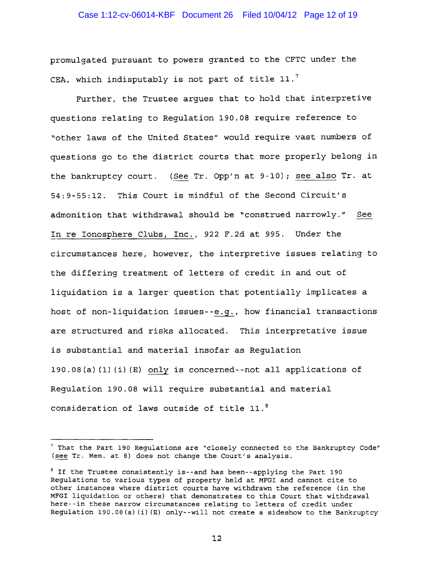## Case 1:12-cv-06014-KBF Document 26 Filed 10/04/12 Page 12 of 19

promulgated pursuant to powers granted to the CFTC under the CEA, which indisputably is not part of title  $11.^7$ 

Further, the Trustee argues that to hold that interpretive questions relating to Regulation 190.08 require reference to "other laws of the United States" would require vast numbers of questions go to the district courts that more properly belong in the bankruptcy court. (See Tr. Opp'n at 9-10); see also Tr. at 54:9-55:12. This Court is mindful of the Second Circuit's admonition that withdrawal should be "construed narrowly." See In re Ionosphere Clubs, Inc., 922 F.2d at 995. Under the circumstances here, however, the interpretive issues relating to the differing treatment of letters of credit in and out of liquidation is a larger question that potentially implicates a host of non-liquidation issues--e.g., how financial transactions are structured and risks allocated. This interpretative issue is substantial and material insofar as Regulation 190.08(a} (1) (i) (E) only is concerned--not all applications of Regulation 190.08 will require substantial and material consideration of laws outside of title 11.8

<sup>7</sup> That the Part 190 Regulations are "closely connected to the Bankruptcy Code" (see Tr. Mem. at 8) does not change the Court's analysis.

<sup>&</sup>lt;sup>8</sup> If the Trustee consistently is--and has been--applying the Part 190 Regulations to various types of property held at MFGI and cannot cite to other instances where district courts have withdrawn the reference (in the MFGI liquidation or others) that demonstrates to this Court that withdrawal here--in these narrow circumstances relating to letters of credit under Regulation 190.08(a) (i) (E) only--will not create a sideshow to the Bankruptcy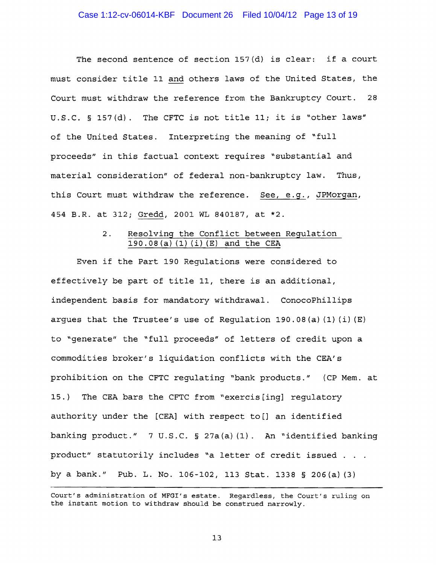The second sentence of section 157(d) is clear: if a court must consider title 11 and others laws of the United States, the Court must withdraw the reference from the Bankruptcy Court. 28 U.S.C. § 157(d). The CFTC is not title 11; it is "other laws" of the United States. Interpreting the meaning of "full proceeds" in this factual context requires "substantial and material consideration" of federal non-bankruptcy law. Thus, this Court must withdraw the reference. See, e.g., JPMorgan, 454 B.R. at 312; Gredd, 2001 WL 840187, at \*2.

## 2. Resolving the Conflict between Regulation 190 . 08 (a) (1) (i) (E) and the CEA

Even if the Part 190 Regulations were considered to effectively be part of title II, there is an additional, independent basis for mandatory withdrawal. ConocoPhillips argues that the Trustee's use of Requlation 190.08(a)  $(1)$   $(i)$   $(E)$ to "generate" the "full proceeds" of letters of credit upon a commodities broker's liquidation conflicts with the CEA's prohibition on the CFTC regulating "bank products." (CP Mem. at 15.) The CEA bars the CFTC from "exercis[ing] regulatory authority under the  $[CEA]$  with respect to  $[]$  an identified banking product." 7 U.S.C. § 27a(a) (1). An "identified banking product" statutorily includes "a letter of credit issued by a bank." Pub. L. No. 106-102, 113 Stat. 1338 § 206(a) (3)

Court's administration of MFGI's estate. Regardless, the Court's ruling on the instant motion to withdraw should be construed narrowly.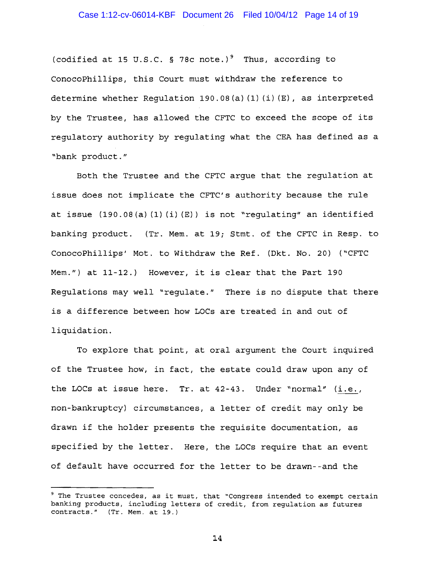(codified at 15 U.S.C. § 78c note.)<sup>9</sup> Thus, according to ConocoPhillips, this Court must withdraw the reference to determine whether Requlation  $190.08(a) (1) (i) (E)$ , as interpreted by the Trustee, has allowed the CFTC to exceed the scope of its regulatory authority by regulating what the CEA has defined as a "bank product."

Both the Trustee and the CFTC argue that the regulation at issue does not implicate the CFTC's authority because the rule at issue (190.08(a) (1) (i) (E)) is not "regulating" an identified banking product. (Tr. Mem. at 19; Stmt. of the CFTC in Resp. to ConocoPhillips' Mot. to Withdraw the Ref. (Dkt. No. 20) ("CFTC *Mem.")* at 11-12.) However, it is clear that the Part 190 Regulations may well "regulate." There is no dispute that there is a difference between how LOCs are treated in and out of liquidation.

To explore that point, at oral argument the Court inquired of the Trustee how, in fact, the estate could draw upon any of the LOCs at issue here. Tr. at  $42-43$ . Under "normal"  $(i.e.,$ non-bankruptcy) circumstances, a letter of credit may only be drawn if the holder presents the requisite documentation, as specified by the letter. Here, the LOCs require that an event of default have occurred for the letter to be drawn--and the

<sup>&</sup>lt;sup>9</sup> The Trustee concedes, as it must, that "Congress intended to exempt certain banking products, including letters of credit, from regulation as futures contracts." (Tr. Mem. at 19.)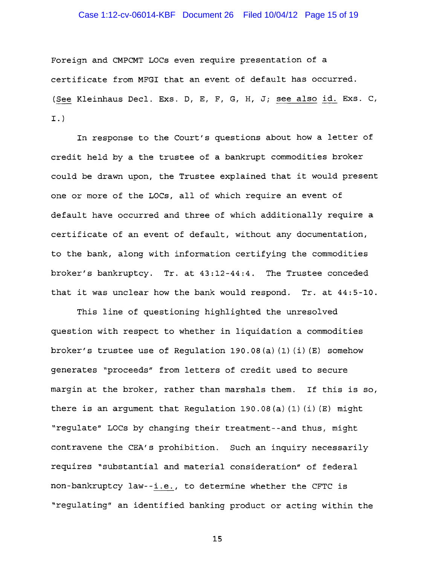### Case 1:12-cv-06014-KBF Document 26 Filed 10/04/12 Page 15 of 19

Foreign and CMPCMT LOCs even require presentation of a certificate from MFGI that an event of default has occurred. See Kleinhaus Decl. Exs. D, E, F, G, H, J; see also id. Exs. C, I.}

In response to the Court's questions about how a letter of credit held by a the trustee of a bankrupt commodities broker could be drawn upon, the Trustee explained that it would present one or more of the LOCs, all of which require an event of default have occurred and three of which additionally require a certificate of an event of default, without any documentation, to the bank, along with information certifying the commodities broker's bankruptcy. Tr. at 43:12-44:4. The Trustee conceded that it was unclear how the bank would respond. Tr. at 44:5-10.

This line of questioning highlighted the unresolved question with respect to whether in liquidation a commodities broker's trustee use of Requlation 190.08(a)(1)(i)(E) somehow generates "proceeds" from letters of credit used to secure margin at the broker, rather than marshals them. If this is so, there is an argument that Regulation 190.08(a)(1)(i)(E) might "regulate" LOCs by changing their treatment--and thus, might contravene the CEA's prohibition. Such an inquiry necessarily requires "substantial and material consideration" of federal non-bankruptcy law--i.e., to determine whether the CFTC is "regulating" an identified banking product or acting within the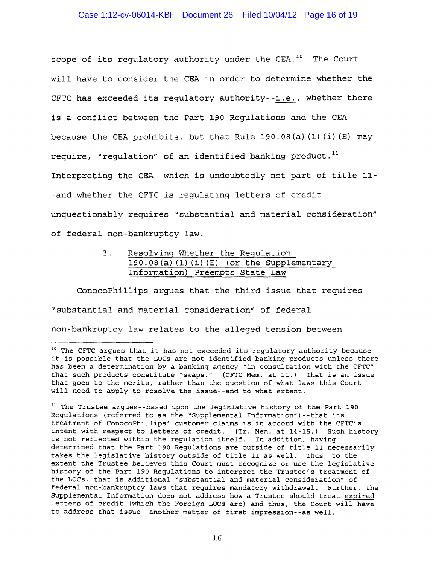# Case 1:12-cv-06014-KBF Document 26 Filed 10/04/12 Page 16 of 19

scope of its regulatory authority under the  $CEA.$ <sup>10</sup> The Court will have to consider the CEA in order to determine whether the CFTC has exceeded its regulatory authority--i.e., whether there is a conflict between the Part 190 Regulations and the CEA because the CEA prohibits, but that Rule 190.08(a)  $(1)$   $(i)$   $(E)$  may require, "requlation" of an identified banking product. $<sup>11</sup>$ </sup> Interpreting the CEA--which is undoubtedly not part of title 11 -and whether the CFTC is regulating letters of credit unquestionably requires "substantial and material consideration" of federal non-bankruptcy law.

> 3. Resolving Whether the Regulation  $190.08$  (a)  $(1)$   $(i)$  (E) (or the Supplementary Information) Preempts State Law

ConocoPhillips argues that the third issue that requires "substantial and material consideration" of federal non-bankruptcy law relates to the alleged tension between

<sup>&</sup>lt;sup>10</sup> The CFTC argues that it has not exceeded its regulatory authority because it is possible that the LOCs are not identified banking products unless there has been a determination by a banking agency "in consultation with the CFTC" that such products constitute "swaps." (CFTC Mem. at 11.) That is an issue that goes to the merits, rather than the question of what laws this Court will need to apply to resolve the issue--and to what extent.

<sup>&</sup>lt;sup>11</sup> The Trustee argues--based upon the legislative history of the Part 190 Regulations (referred to as the "Supplemental Information")--that its treatment of ConocoPhillips' customer claims is in accord with the CFTC's intent with respect to letters of credit. (Tr. Mem. at 14-15.) Such history is not reflected within the regulation itself. In addition, having determined that the Part 190 Regulations are outside of title 11 necessarily takes the legislative history outside of title 11 as well. Thus, to the extent the Trustee believes this Court must recognize or use the legislative history of the Part 190 Regulations to interpret the Trustee's treatment of the LOCs, that is additional "substantial and material consideration" of federal non-bankruptcy laws that requires mandatory withdrawal. Further, the Supplemental Information does not address how a Trustee should treat expired letters of credit (which the Foreign LOCs are) and thus, the Court will have to address that issue--another matter of first impression--as well.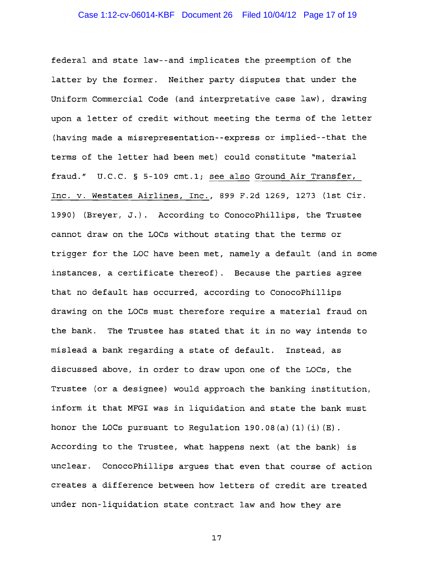federal and state law--and implicates the preemption of the latter by the former. Neither party disputes that under the Uniform Commercial Code (and interpretative case law), drawing upon a letter of credit without meeting the terms of the letter (having made a misrepresentation--express or implied--that the terms of the letter had been met) could constitute "material fraud." U.C.C. § 5-109 cmt.1; see also Ground Air Transfer, Inc. v. Westates Airlines, Inc., 899 F.2d 1269, 1273 (1st Cir. 1990) (Breyer, J.). According to conocoPhillips, the Trustee cannot draw on the LOCs without stating that the terms or trigger for the LOC have been met, namely a default (and in some instances, a certificate thereof). Because the parties agree that no default has occurred, according to conocoPhillips drawing on the LOCs must therefore require a material fraud on the bank. The Trustee has stated that it in no way intends to mislead a bank regarding a state of default. Instead, as discussed above, in order to draw upon one of the LOCs, the Trustee (or a designee) would approach the banking institution, inform it that MFGI was in liquidation and state the bank must honor the LOCs pursuant to Regulation  $190.08(a)$  (1) (i) (E). According to the Trustee, what happens next (at the bank) is unclear. ConocoPhillips argues that even that course of action creates a difference between how letters of credit are treated under non-liquidation state contract law and how they are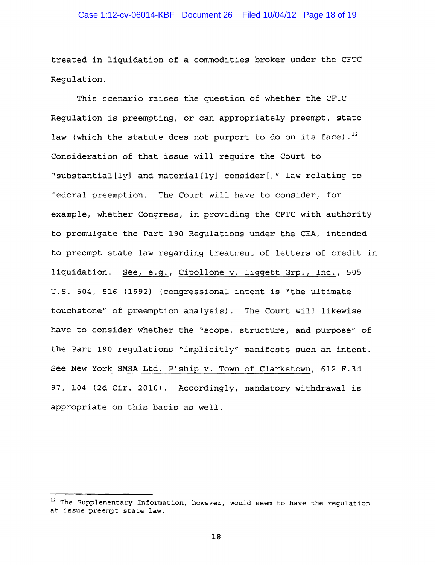## Case 1:12-cv-06014-KBF Document 26 Filed 10/04/12 Page 18 of 19

treated in liquidation of a commodities broker under the CFTC Regulation.

This scenario raises the question of whether the CFTC Regulation is preempting, or can appropriately preempt, state law (which the statute does not purport to do on its face).<sup>12</sup> Consideration of that issue will require the Court to "substantial [ly] and material [ly] consider []" law relating to federal preemption. The Court will have to consider, for example, whether Congress, in providing the CFTC with authority to promulgate the Part 190 Regulations under the CEA, intended to preempt state law regarding treatment of letters of credit in liquidation. See, e.g., Cipollone v. Liggett Grp., Inc., 505 U.S. 504, 516 (1992) (congressional intent is "the ultimate touchstone" of preemption analysis). The Court will likewise have to consider whether the "scope, structure, and purpose" of the Part 190 regulations "implicitly" manifests such an intent. See New York SMSA Ltd. P'ship v. Town of Clarkstown, 612 F.3d 97, 104 (2d Cir. 2010). Accordingly, mandatory withdrawal is appropriate on this basis as well.

<sup>&</sup>lt;sup>12</sup> The Supplementary Information, however, would seem to have the regulation at issue preempt state law.